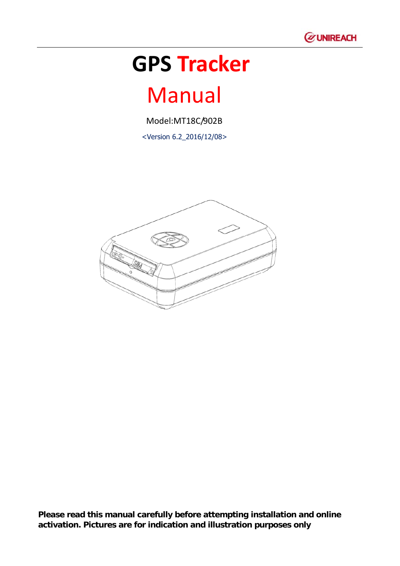

# **GPS Tracker**

# Manual

Model:MT18C/902B

<Version 6.2\_2016/12/08>



**Please read this manual carefully before attempting installation and online activation. Pictures are for indication and illustration purposes only**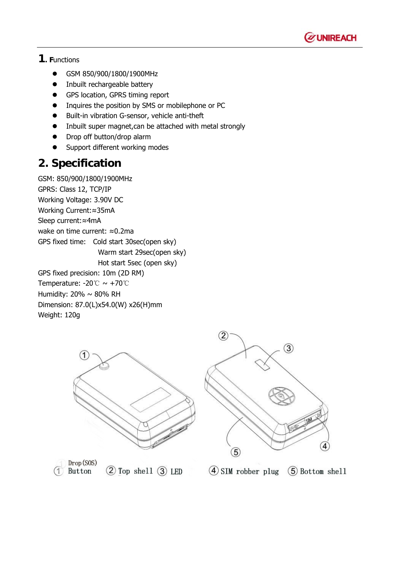

### **1. F**unctions

- GSM 850/900/1800/1900MHz
- Inbuilt rechargeable battery
- GPS location, GPRS timing report
- Inquires the position by SMS or mobilephone or PC
- Built-in vibration G-sensor, vehicle anti-theft
- $\bullet$  Inbuilt super magnet, can be attached with metal strongly
- Drop off button/drop alarm
- Support different working modes

## **2. Specification**

GSM: 850/900/1800/1900MHz GPRS: Class 12, TCP/IP Working Voltage: 3.90V DC Working Current:≈35mA Sleep current:≈4mA wake on time current: ≈0.2ma GPS fixed time: Cold start 30sec(open sky) Warm start 29sec(open sky) Hot start 5sec (open sky) GPS fixed precision: 10m (2D RM) Temperature: -20℃ ~ +70℃ Humidity: 20% ~ 80% RH Dimension: 87.0(L)x54.0(W) x26(H)mm Weight: 120g





Drop (SOS) Button

 $(2)$  Top shell  $(3)$  LED

 $(4)$  SIM robber plug 5 Bottom shell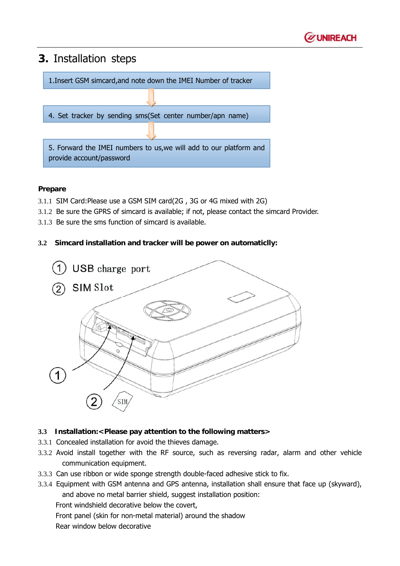

## **3.** Installation steps

1.Insert GSM simcard,and note down the IMEI Number of tracker

4. Set tracker by sending sms(Set center number/apn name)

5. Forward the IMEI numbers to us,we will add to our platform and provide account/password

#### **Prepare**

- 3.1.1 SIM Card:Please use a GSM SIM card(2G , 3G or 4G mixed with 2G)
- 3.1.2 Be sure the GPRS of simcard is available; if not, please contact the simcard Provider.
- 3.1.3 Be sure the sms function of simcard is available.

#### **3.2 Simcard installation and tracker will be power on automaticlly:**



#### **3.3 Installation:<Please pay attention to the following matters>**

- 3.3.1 Concealed installation for avoid the thieves damage.
- 3.3.2 Avoid install together with the RF source, such as reversing radar, alarm and other vehicle communication equipment.
- 3.3.3 Can use ribbon or wide sponge strength double-faced adhesive stick to fix.
- 3.3.4 Equipment with GSM antenna and GPS antenna, installation shall ensure that face up (skyward), and above no metal barrier shield, suggest installation position:

Front windshield decorative below the covert,

Front panel (skin for non-metal material) around the shadow

Rear window below decorative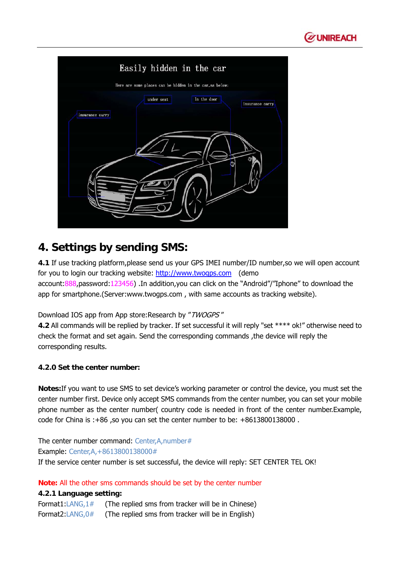

| Easily hidden in the car                                        |  |
|-----------------------------------------------------------------|--|
| Here are some places can be hidden in the car, as below:        |  |
| In the door<br>under seat<br>insurance carry<br>insurance carry |  |
|                                                                 |  |
|                                                                 |  |

## **4. Settings by sending SMS:**

**4.1** If use tracking platform,please send us your GPS IMEI number/ID number,so we will open account for you to login our tracking website: http://www.twogps.com (demo account:888,password:123456) .In addition,you can click on the "Android"/"Iphone" to download the app for smartphone.(Server:www.twogps.com , with same accounts as tracking website).

Download IOS app from App store: Research by "TWOGPS"

**4.2** All commands will be replied by tracker. If set successful it will reply "set \*\*\*\* ok!" otherwise need to check the format and set again. Send the corresponding commands ,the device will reply the corresponding results.

#### **4.2.0 Set the center number:**

**Notes:**If you want to use SMS to set device's working parameter or control the device, you must set the center number first. Device only accept SMS commands from the center number, you can set your mobile phone number as the center number( country code is needed in front of the center number.Example, code for China is :+86 ,so you can set the center number to be: +8613800138000 .

The center number command: Center, A, number # Example: Center,A,+8613800138000# If the service center number is set successful, the device will reply: SET CENTER TEL OK!

**Note:** All the other sms commands should be set by the center number

#### **4.2.1 Language setting:**

Format1:LANG,1# (The replied sms from tracker will be in Chinese) Format2:LANG,0# (The replied sms from tracker will be in English)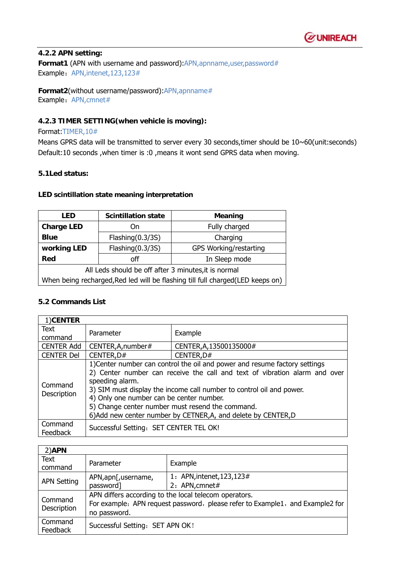

#### **4.2.2 APN setting:**

**Format1 (APN with username and password):APN,apnname,user,password#** Example: APN,intenet,123,123#

**Format2**(without username/password):APN,apnname# Example: APN, cmnet#

#### **4.2.3 TIMER SETTING(when vehicle is moving):**

#### Format:TIMER,10#

Means GPRS data will be transmitted to server every 30 seconds,timer should be 10~60(unit:seconds) Default:10 seconds ,when timer is :0 ,means it wont send GPRS data when moving.

#### **5.1Led status:**

#### **LED scintillation state meaning interpretation**

| <b>Scintillation state</b><br>LED                                              |                     | Meaning                |  |
|--------------------------------------------------------------------------------|---------------------|------------------------|--|
| <b>Charge LED</b>                                                              | On                  | Fully charged          |  |
| <b>Blue</b>                                                                    | Flashing(0.3/3S)    | Charging               |  |
| working LED                                                                    | Flashing $(0.3/3S)$ | GPS Working/restarting |  |
| off<br>Red                                                                     |                     | In Sleep mode          |  |
| All Leds should be off after 3 minutes, it is normal                           |                     |                        |  |
| When being recharged, Red led will be flashing till full charged(LED keeps on) |                     |                        |  |

#### **5.2 Commands List**

| 1)CENTER               |                                                                                                                                                                                                                                                                                                                                                                                                                       |                         |
|------------------------|-----------------------------------------------------------------------------------------------------------------------------------------------------------------------------------------------------------------------------------------------------------------------------------------------------------------------------------------------------------------------------------------------------------------------|-------------------------|
| <b>Text</b>            | Parameter                                                                                                                                                                                                                                                                                                                                                                                                             | Example                 |
| command                |                                                                                                                                                                                                                                                                                                                                                                                                                       |                         |
| <b>CENTER Add</b>      | CENTER, A, number#                                                                                                                                                                                                                                                                                                                                                                                                    | CENTER, A, 13500135000# |
| <b>CENTER Del</b>      | CENTER, D#                                                                                                                                                                                                                                                                                                                                                                                                            | CENTER, D#              |
| Command<br>Description | 1) Center number can control the oil and power and resume factory settings<br>2) Center number can receive the call and text of vibration alarm and over<br>speeding alarm.<br>3) SIM must display the income call number to control oil and power.<br>4) Only one number can be center number.<br>5) Change center number must resend the command.<br>6) Add new center number by CETNER, A, and delete by CENTER, D |                         |
| Command<br>Feedback    | Successful Setting: SET CENTER TEL OK!                                                                                                                                                                                                                                                                                                                                                                                |                         |

| $2)$ APN               |                                                                                                                                                        |                            |
|------------------------|--------------------------------------------------------------------------------------------------------------------------------------------------------|----------------------------|
| <b>Text</b><br>command | Parameter                                                                                                                                              | Example                    |
| <b>APN Setting</b>     | APN, apn[, username,                                                                                                                                   | 1: APN, intenet, 123, 123# |
|                        | password]                                                                                                                                              | 2: APN, cmnet#             |
| Command<br>Description | APN differs according to the local telecom operators.<br>For example: APN request password, please refer to Example1, and Example2 for<br>no password. |                            |
| Command<br>Feedback    | Successful Setting: SET APN OK!                                                                                                                        |                            |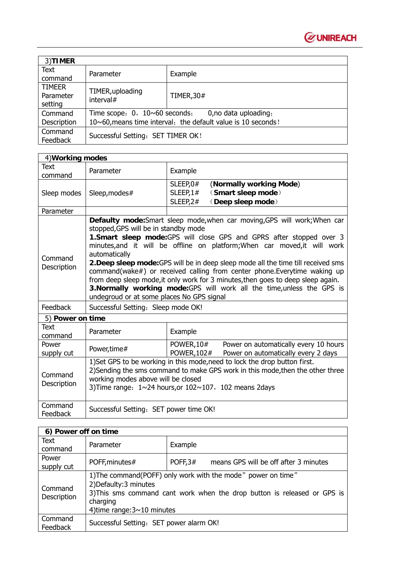

| 3)TIMER             |                                                                 |            |
|---------------------|-----------------------------------------------------------------|------------|
| Text                | Parameter                                                       |            |
| command             |                                                                 | Example    |
| <b>TIMEER</b>       |                                                                 |            |
| Parameter           | TIMER, uploading<br>interval#                                   | TIMER, 30# |
| setting             |                                                                 |            |
| Command             | Time scope: $0, 10 \times 60$ seconds;<br>0, no data uploading, |            |
| Description         | 10~60, means time interval; the default value is 10 seconds!    |            |
| Command<br>Feedback | Successful Setting: SET TIMER OK!                               |            |

| 4) Working modes       |                                                                                                                                                                                                                                                                             |                                                                                                                                                                                                                                                                                                                                                                                                                                                                                                                                                                  |  |
|------------------------|-----------------------------------------------------------------------------------------------------------------------------------------------------------------------------------------------------------------------------------------------------------------------------|------------------------------------------------------------------------------------------------------------------------------------------------------------------------------------------------------------------------------------------------------------------------------------------------------------------------------------------------------------------------------------------------------------------------------------------------------------------------------------------------------------------------------------------------------------------|--|
| Text<br>command        | Parameter                                                                                                                                                                                                                                                                   | Example                                                                                                                                                                                                                                                                                                                                                                                                                                                                                                                                                          |  |
| Sleep modes            | Sleep, modes#                                                                                                                                                                                                                                                               | SLEEP, 0#<br>(Normally working Mode)<br>(Smart sleep mode)<br>SLEEP, $1#$<br>SLEEP,2#<br>(Deep sleep mode)                                                                                                                                                                                                                                                                                                                                                                                                                                                       |  |
| Parameter              |                                                                                                                                                                                                                                                                             |                                                                                                                                                                                                                                                                                                                                                                                                                                                                                                                                                                  |  |
| Command<br>Description | stopped, GPS will be in standby mode<br>automatically<br>undegroud or at some places No GPS signal                                                                                                                                                                          | Defaulty mode: Smart sleep mode, when car moving, GPS will work; When car<br>1. Smart sleep mode: GPS will close GPS and GPRS after stopped over 3<br>minutes, and it will be offline on platform; When car moved, it will work<br>2. Deep sleep mode: GPS will be in deep sleep mode all the time till received sms<br>command(wake#) or received calling from center phone. Everytime waking up<br>from deep sleep mode, it only work for 3 minutes, then goes to deep sleep again.<br>3. Normally working mode: GPS will work all the time, unless the GPS is |  |
| Feedback               | Successful Setting: Sleep mode OK!                                                                                                                                                                                                                                          |                                                                                                                                                                                                                                                                                                                                                                                                                                                                                                                                                                  |  |
| 5) Power on time       |                                                                                                                                                                                                                                                                             |                                                                                                                                                                                                                                                                                                                                                                                                                                                                                                                                                                  |  |
| Text<br>command        | Parameter                                                                                                                                                                                                                                                                   | Example                                                                                                                                                                                                                                                                                                                                                                                                                                                                                                                                                          |  |
| Power<br>supply cut    | Power, time#                                                                                                                                                                                                                                                                | <b>POWER, 10#</b><br>Power on automatically every 10 hours<br>POWER, 102#<br>Power on automatically every 2 days                                                                                                                                                                                                                                                                                                                                                                                                                                                 |  |
| Command<br>Description | 1) Set GPS to be working in this mode, need to lock the drop button first.<br>2) Sending the sms command to make GPS work in this mode, then the other three<br>working modes above will be closed<br>3) Time range: $1 \sim 24$ hours, or $102 \sim 107$ , 102 means 2days |                                                                                                                                                                                                                                                                                                                                                                                                                                                                                                                                                                  |  |
| Command<br>Feedback    | Successful Setting: SET power time OK!                                                                                                                                                                                                                                      |                                                                                                                                                                                                                                                                                                                                                                                                                                                                                                                                                                  |  |

| 6) Power off on time   |                                                                                                                                                                                                                       |                                                     |
|------------------------|-----------------------------------------------------------------------------------------------------------------------------------------------------------------------------------------------------------------------|-----------------------------------------------------|
| Text<br>command        | Parameter                                                                                                                                                                                                             | Example                                             |
| Power<br>supply cut    | POFF, minutes#                                                                                                                                                                                                        | POFF, $3#$<br>means GPS will be off after 3 minutes |
| Command<br>Description | 1) The command (POFF) only work with the mode" power on time"<br>2) Defaulty: 3 minutes<br>3) This sms command cant work when the drop button is released or GPS is<br>charging<br>4) time range: $3 \sim 10$ minutes |                                                     |
| Command<br>Feedback    | Successful Setting: SET power alarm OK!                                                                                                                                                                               |                                                     |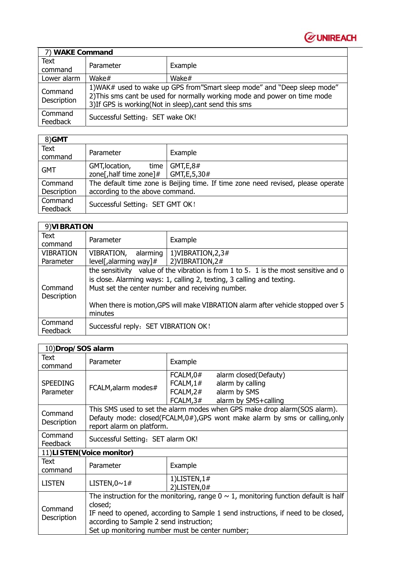

| 7) WAKE Command        |                                                                                                                                                                                                                   |          |
|------------------------|-------------------------------------------------------------------------------------------------------------------------------------------------------------------------------------------------------------------|----------|
| Text<br>command        | Parameter                                                                                                                                                                                                         | Example  |
| Lower alarm            | Wake $#$                                                                                                                                                                                                          | Wake $#$ |
| Command<br>Description | 1) WAK# used to wake up GPS from" Smart sleep mode" and "Deep sleep mode"<br>2) This sms cant be used for normally working mode and power on time mode<br>3) If GPS is working (Not in sleep), cant send this sms |          |
| Command<br>Feedback    | Successful Setting: SET wake OK!                                                                                                                                                                                  |          |

| 8)GMT       |                                                |                                                                                  |
|-------------|------------------------------------------------|----------------------------------------------------------------------------------|
| Text        | Parameter                                      | Example                                                                          |
| command     |                                                |                                                                                  |
| <b>GMT</b>  | GMT, location,                                 | time $\vert$ GMT, E, 8#                                                          |
|             | zone[, half time zone]# $\vert$ GMT, E, 5, 30# |                                                                                  |
| Command     |                                                | The default time zone is Beijing time. If time zone need revised, please operate |
| Description | according to the above command.                |                                                                                  |
| Command     | Successful Setting: SET GMT OK!                |                                                                                  |
| Feedback    |                                                |                                                                                  |

| 9) VIBRATION                  |                                                                                                                                                                                                                           |                                                                                  |  |
|-------------------------------|---------------------------------------------------------------------------------------------------------------------------------------------------------------------------------------------------------------------------|----------------------------------------------------------------------------------|--|
| Text<br>command               | Parameter                                                                                                                                                                                                                 | Example                                                                          |  |
| <b>VIBRATION</b><br>Parameter | VIBRATION,<br>alarming<br>$level[,$ alarming way]#                                                                                                                                                                        | 1) VIBRATION, 2, 3#<br>2) VIBRATION, 2#                                          |  |
|                               |                                                                                                                                                                                                                           |                                                                                  |  |
| Command<br>Description        | the sensitivity value of the vibration is from $1$ to $5$ , $1$ is the most sensitive and o<br>is close. Alarming ways: 1, calling 2, texting, 3 calling and texting.<br>Must set the center number and receiving number. |                                                                                  |  |
|                               | minutes                                                                                                                                                                                                                   | When there is motion, GPS will make VIBRATION alarm after vehicle stopped over 5 |  |
| Command<br>Feedback           | Successful reply: SET VIBRATION OK!                                                                                                                                                                                       |                                                                                  |  |

| 10)Drop/SOS alarm            |                                                                                                                                                                                                                                                                                          |                                               |                                                                                   |
|------------------------------|------------------------------------------------------------------------------------------------------------------------------------------------------------------------------------------------------------------------------------------------------------------------------------------|-----------------------------------------------|-----------------------------------------------------------------------------------|
| <b>Text</b><br>command       | Parameter                                                                                                                                                                                                                                                                                | Example                                       |                                                                                   |
| <b>SPEEDING</b><br>Parameter | FCALM, alarm modes#                                                                                                                                                                                                                                                                      | FCALM,0#<br>FCALM, 1#<br>FCALM,2#<br>FCALM,3# | alarm closed(Defauty)<br>alarm by calling<br>alarm by SMS<br>alarm by SMS+calling |
| Command<br>Description       | This SMS used to set the alarm modes when GPS make drop alarm(SOS alarm).<br>Defauty mode: closed(FCALM,0#),GPS wont make alarm by sms or calling,only<br>report alarm on platform.                                                                                                      |                                               |                                                                                   |
| Command<br><b>Feedback</b>   | Successful Setting: SET alarm OK!                                                                                                                                                                                                                                                        |                                               |                                                                                   |
| 11)LISTEN(Voice monitor)     |                                                                                                                                                                                                                                                                                          |                                               |                                                                                   |
| Text<br>command              | Parameter                                                                                                                                                                                                                                                                                | Example                                       |                                                                                   |
| <b>LISTEN</b>                | LISTEN, $0 \sim 1#$                                                                                                                                                                                                                                                                      | 1)LISTEN, $1#$<br>2) $LISTEN, 0#$             |                                                                                   |
| Command<br>Description       | The instruction for the monitoring, range $0 \sim 1$ , monitoring function default is half<br>closed;<br>IF need to opened, according to Sample 1 send instructions, if need to be closed,<br>according to Sample 2 send instruction;<br>Set up monitoring number must be center number; |                                               |                                                                                   |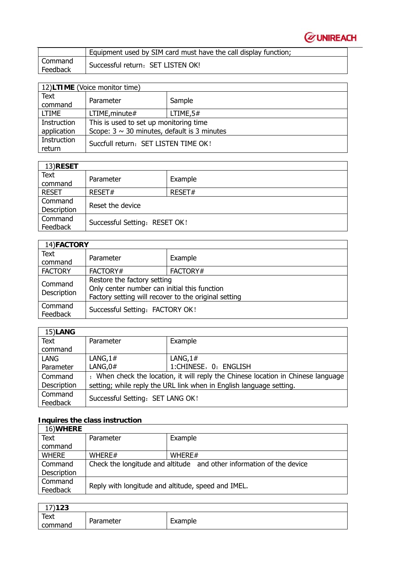

|                     | Equipment used by SIM card must have the call display function; |
|---------------------|-----------------------------------------------------------------|
| Command<br>Feedback | Successful return: SET LISTEN OK!                               |

| 12)LTIME (Voice monitor time) |                                                                                            |             |
|-------------------------------|--------------------------------------------------------------------------------------------|-------------|
| Text<br>command               | Parameter                                                                                  | Sample      |
| <b>LTIME</b>                  | LTIME, minute#                                                                             | LTIME, $5#$ |
| Instruction<br>application    | This is used to set up monitoring time<br>Scope: $3 \sim 30$ minutes, default is 3 minutes |             |
| Instruction<br>return         | Succfull return: SET LISTEN TIME OK!                                                       |             |

| 13)RESET               |                               |         |
|------------------------|-------------------------------|---------|
| <b>Text</b><br>command | Parameter                     | Example |
| <b>RESET</b>           | RESET#                        | RESET#  |
| Command<br>Description | Reset the device              |         |
| Command<br>Feedback    | Successful Setting: RESET OK! |         |

| 14)FACTORY             |                                                                                                                                     |          |
|------------------------|-------------------------------------------------------------------------------------------------------------------------------------|----------|
| Text<br>command        | Parameter                                                                                                                           | Example  |
| <b>FACTORY</b>         | FACTORY#                                                                                                                            | FACTORY# |
| Command<br>Description | Restore the factory setting<br>Only center number can initial this function<br>Factory setting will recover to the original setting |          |
| Command<br>Feedback    | Successful Setting: FACTORY OK!                                                                                                     |          |

| 15)LANG             |                                                                                   |                                                                     |  |
|---------------------|-----------------------------------------------------------------------------------|---------------------------------------------------------------------|--|
| <b>Text</b>         | Parameter                                                                         | Example                                                             |  |
| command             |                                                                                   |                                                                     |  |
| LANG                | LANG, $1#$                                                                        | LANG,1#                                                             |  |
| Parameter           | LANG, $0#$                                                                        | 1:CHINESE, 0: ENGLISH                                               |  |
| Command             | ; When check the location, it will reply the Chinese location in Chinese language |                                                                     |  |
| Description         |                                                                                   | setting; while reply the URL link when in English language setting. |  |
| Command<br>Feedback | Successful Setting: SET LANG OK!                                                  |                                                                     |  |

### **Inquires the class instruction**

| 16) WHERE    |                                                                      |                                                    |  |
|--------------|----------------------------------------------------------------------|----------------------------------------------------|--|
| Text         | Parameter                                                            | Example                                            |  |
| command      |                                                                      |                                                    |  |
| <b>WHERE</b> | WHERE#                                                               | WHERE#                                             |  |
| Command      | Check the longitude and altitude and other information of the device |                                                    |  |
| Description  |                                                                      |                                                    |  |
| Command      |                                                                      |                                                    |  |
| Feedback     |                                                                      | Reply with longitude and altitude, speed and IMEL. |  |

| 17)123          |           |         |
|-----------------|-----------|---------|
| Text<br>command | Parameter | Example |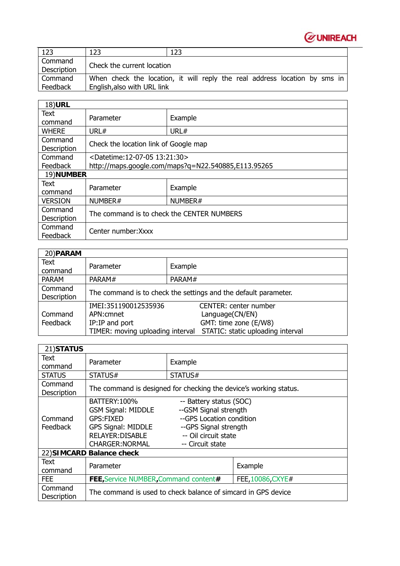

| -123                   | 123                         | 123                                                                        |
|------------------------|-----------------------------|----------------------------------------------------------------------------|
| Command<br>Description | Check the current location  |                                                                            |
| Command<br>Feedback    | English, also with URL link | When check the location, it will reply the real address location by sms in |

| <b>18)URL</b>              |                                                     |         |
|----------------------------|-----------------------------------------------------|---------|
| Text<br>command            | Parameter                                           | Example |
| <b>WHERE</b>               | URL#                                                | URL#    |
| Command<br>Description     | Check the location link of Google map               |         |
| Command                    | <datetime:12-07-05 13:21:30=""></datetime:12-07-05> |         |
| <b>Feedback</b>            | http://maps.google.com/maps?q=N22.540885,E113.95265 |         |
| 19)NUMBER                  |                                                     |         |
| Text<br>command            | Parameter                                           | Example |
| <b>VERSION</b>             | NUMBER#                                             | NUMBER# |
| Command<br>Description     | The command is to check the CENTER NUMBERS          |         |
| Command<br><b>Feedback</b> | Center number: Xxxx                                 |         |

| 20) PARAM              |                                                                                          |                                                                                                               |  |  |  |
|------------------------|------------------------------------------------------------------------------------------|---------------------------------------------------------------------------------------------------------------|--|--|--|
| Text<br>command        | Parameter                                                                                | Example                                                                                                       |  |  |  |
| <b>PARAM</b>           | PARAM#                                                                                   | PARAM#                                                                                                        |  |  |  |
| Command<br>Description | The command is to check the settings and the default parameter.                          |                                                                                                               |  |  |  |
| Command<br>Feedback    | IMEI:351190012535936<br>APN: cmnet<br>IP:IP and port<br>TIMER: moving uploading interval | <b>CENTER: center number</b><br>Language(CN/EN)<br>GMT: time zone (E/W8)<br>STATIC: static uploading interval |  |  |  |

| 21) STATUS                 |                                                                                                                                                 |                                                                                                                                                   |                   |
|----------------------------|-------------------------------------------------------------------------------------------------------------------------------------------------|---------------------------------------------------------------------------------------------------------------------------------------------------|-------------------|
| Text<br>command            | Parameter                                                                                                                                       | Example                                                                                                                                           |                   |
| <b>STATUS</b>              | STATUS#                                                                                                                                         | STATUS#                                                                                                                                           |                   |
| Command<br>Description     | The command is designed for checking the device's working status.                                                                               |                                                                                                                                                   |                   |
| Command<br><b>Feedback</b> | <b>BATTERY: 100%</b><br><b>GSM Signal: MIDDLE</b><br><b>GPS:FIXED</b><br><b>GPS Signal: MIDDLE</b><br>RELAYER: DISABLE<br><b>CHARGER:NORMAL</b> | -- Battery status (SOC)<br>--GSM Signal strength<br>--GPS Location condition<br>--GPS Signal strength<br>-- Oil circuit state<br>-- Circuit state |                   |
| 22) SIMCARD Balance check  |                                                                                                                                                 |                                                                                                                                                   |                   |
| Text<br>command            | Parameter                                                                                                                                       |                                                                                                                                                   | Example           |
| <b>FEE</b>                 | <b>FEE, Service NUMBER, Command content#</b>                                                                                                    |                                                                                                                                                   | FEE, 10086, CXYE# |
| Command<br>Description     | The command is used to check balance of simcard in GPS device                                                                                   |                                                                                                                                                   |                   |